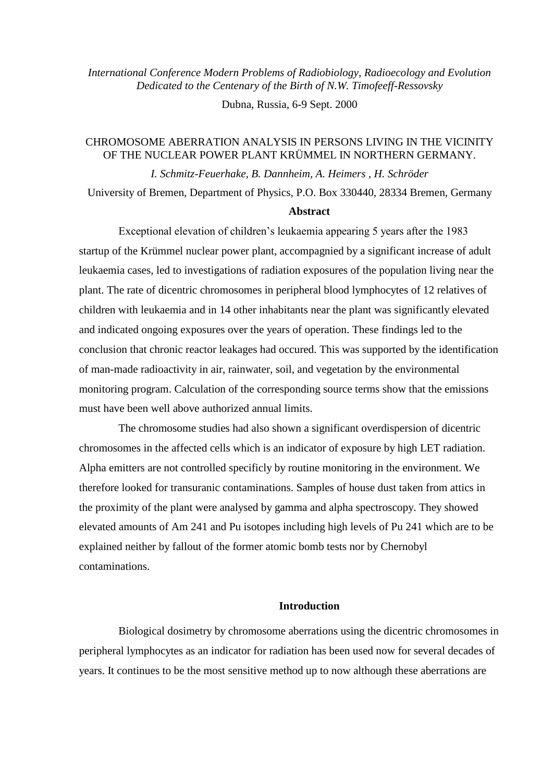*International Conference Modern Problems of Radiobiology, Radioecology and Evolution Dedicated to the Centenary of the Birth of N.W. Timofeeff-Ressovsky*

Dubna, Russia, 6-9 Sept. 2000

# CHROMOSOME ABERRATION ANALYSIS IN PERSONS LIVING IN THE VICINITY OF THE NUCLEAR POWER PLANT KRÜMMEL IN NORTHERN GERMANY.

*I. Schmitz-Feuerhake, B. Dannheim, A. Heimers , H. Schröder*

University of Bremen, Department of Physics, P.O. Box 330440, 28334 Bremen, Germany

## **Abstract**

Exceptional elevation of children's leukaemia appearing 5 years after the 1983 startup of the Krümmel nuclear power plant, accompagnied by a significant increase of adult leukaemia cases, led to investigations of radiation exposures of the population living near the plant. The rate of dicentric chromosomes in peripheral blood lymphocytes of 12 relatives of children with leukaemia and in 14 other inhabitants near the plant was significantly elevated and indicated ongoing exposures over the years of operation. These findings led to the conclusion that chronic reactor leakages had occured. This was supported by the identification of man-made radioactivity in air, rainwater, soil, and vegetation by the environmental monitoring program. Calculation of the corresponding source terms show that the emissions must have been well above authorized annual limits.

The chromosome studies had also shown a significant overdispersion of dicentric chromosomes in the affected cells which is an indicator of exposure by high LET radiation. Alpha emitters are not controlled specificly by routine monitoring in the environment. We therefore looked for transuranic contaminations. Samples of house dust taken from attics in the proximity of the plant were analysed by gamma and alpha spectroscopy. They showed elevated amounts of Am 241 and Pu isotopes including high levels of Pu 241 which are to be explained neither by fallout of the former atomic bomb tests nor by Chernobyl contaminations.

# **Introduction**

Biological dosimetry by chromosome aberrations using the dicentric chromosomes in peripheral lymphocytes as an indicator for radiation has been used now for several decades of years. It continues to be the most sensitive method up to now although these aberrations are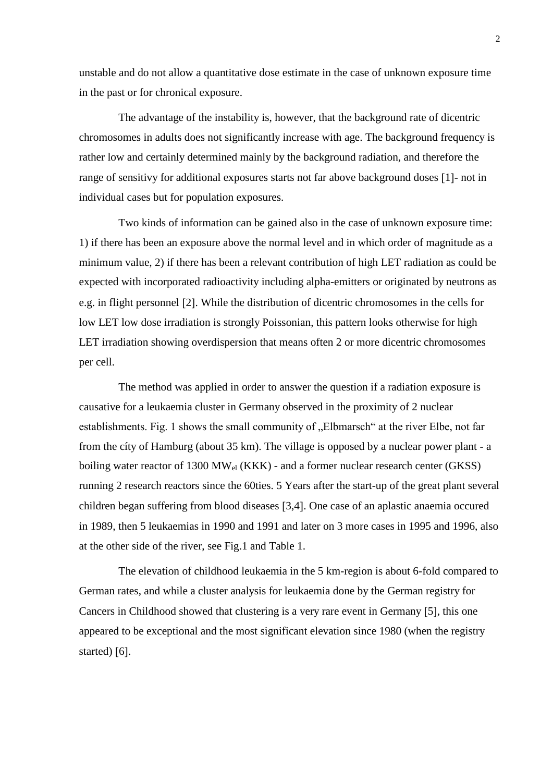unstable and do not allow a quantitative dose estimate in the case of unknown exposure time in the past or for chronical exposure.

The advantage of the instability is, however, that the background rate of dicentric chromosomes in adults does not significantly increase with age. The background frequency is rather low and certainly determined mainly by the background radiation, and therefore the range of sensitivy for additional exposures starts not far above background doses [1]- not in individual cases but for population exposures.

Two kinds of information can be gained also in the case of unknown exposure time: 1) if there has been an exposure above the normal level and in which order of magnitude as a minimum value, 2) if there has been a relevant contribution of high LET radiation as could be expected with incorporated radioactivity including alpha-emitters or originated by neutrons as e.g. in flight personnel [2]. While the distribution of dicentric chromosomes in the cells for low LET low dose irradiation is strongly Poissonian, this pattern looks otherwise for high LET irradiation showing overdispersion that means often 2 or more dicentric chromosomes per cell.

The method was applied in order to answer the question if a radiation exposure is causative for a leukaemia cluster in Germany observed in the proximity of 2 nuclear establishments. Fig. 1 shows the small community of "Elbmarsch" at the river Elbe, not far from the cíty of Hamburg (about 35 km). The village is opposed by a nuclear power plant - a boiling water reactor of 1300  $MW_{el}$  (KKK) - and a former nuclear research center (GKSS) running 2 research reactors since the 60ties. 5 Years after the start-up of the great plant several children began suffering from blood diseases [3,4]. One case of an aplastic anaemia occured in 1989, then 5 leukaemias in 1990 and 1991 and later on 3 more cases in 1995 and 1996, also at the other side of the river, see Fig.1 and Table 1.

The elevation of childhood leukaemia in the 5 km-region is about 6-fold compared to German rates, and while a cluster analysis for leukaemia done by the German registry for Cancers in Childhood showed that clustering is a very rare event in Germany [5], this one appeared to be exceptional and the most significant elevation since 1980 (when the registry started)  $[6]$ .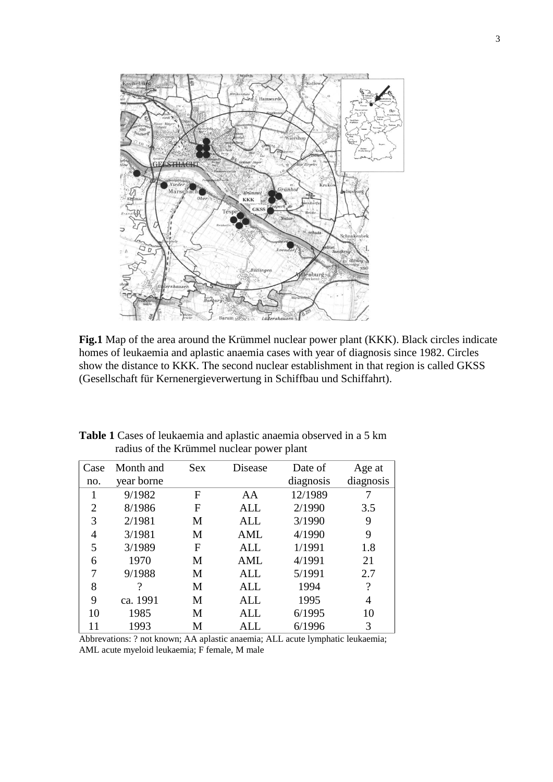

**Fig.1** Map of the area around the Krümmel nuclear power plant (KKK). Black circles indicate homes of leukaemia and aplastic anaemia cases with year of diagnosis since 1982. Circles show the distance to KKK. The second nuclear establishment in that region is called GKSS (Gesellschaft für Kernenergieverwertung in Schiffbau und Schiffahrt).

| Case | Month and  | <b>Sex</b> | Disease    | Date of   | Age at             |
|------|------------|------------|------------|-----------|--------------------|
| no.  | year borne |            |            | diagnosis | diagnosis          |
|      | 9/1982     | F          | AA         | 12/1989   |                    |
| 2    | 8/1986     | F          | ALL        | 2/1990    | 3.5                |
| 3    | 2/1981     | M          | <b>ALL</b> | 3/1990    | 9                  |
| 4    | 3/1981     | M          | AML        | 4/1990    | 9                  |
| 5    | 3/1989     | F          | <b>ALL</b> | 1/1991    | 1.8                |
| 6    | 1970       | М          | AML        | 4/1991    | 21                 |
| 7    | 9/1988     | M          | <b>ALL</b> | 5/1991    | 2.7                |
| 8    | 9          | M          | <b>ALL</b> | 1994      | $\overline{\cdot}$ |
| 9    | ca. 1991   | M          | ALL        | 1995      | 4                  |
| 10   | 1985       | M          | ALL        | 6/1995    | 10                 |
| 11   | 1993       | М          | ALL.       | 6/1996    | 3                  |

**Table 1** Cases of leukaemia and aplastic anaemia observed in a 5 km radius of the Krümmel nuclear power plant

Abbrevations: ? not known; AA aplastic anaemia; ALL acute lymphatic leukaemia; AML acute myeloid leukaemia; F female, M male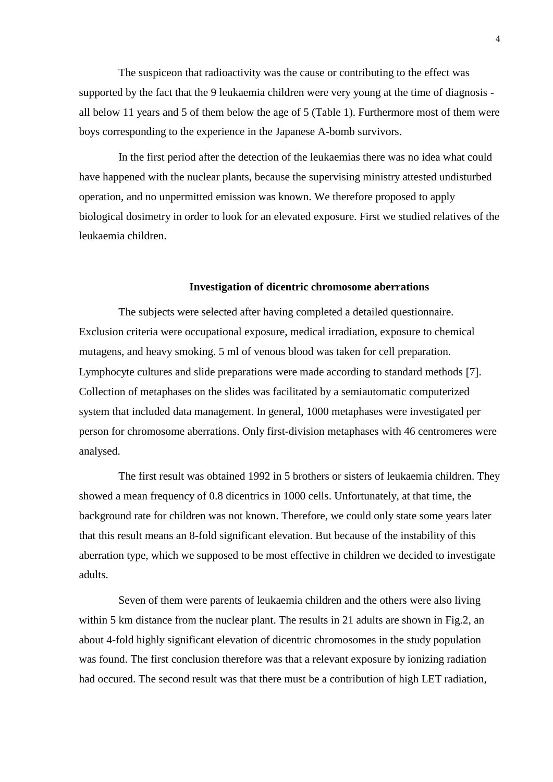The suspiceon that radioactivity was the cause or contributing to the effect was supported by the fact that the 9 leukaemia children were very young at the time of diagnosis all below 11 years and 5 of them below the age of 5 (Table 1). Furthermore most of them were boys corresponding to the experience in the Japanese A-bomb survivors.

In the first period after the detection of the leukaemias there was no idea what could have happened with the nuclear plants, because the supervising ministry attested undisturbed operation, and no unpermitted emission was known. We therefore proposed to apply biological dosimetry in order to look for an elevated exposure. First we studied relatives of the leukaemia children.

### **Investigation of dicentric chromosome aberrations**

The subjects were selected after having completed a detailed questionnaire. Exclusion criteria were occupational exposure, medical irradiation, exposure to chemical mutagens, and heavy smoking. 5 ml of venous blood was taken for cell preparation. Lymphocyte cultures and slide preparations were made according to standard methods [7]. Collection of metaphases on the slides was facilitated by a semiautomatic computerized system that included data management. In general, 1000 metaphases were investigated per person for chromosome aberrations. Only first-division metaphases with 46 centromeres were analysed.

The first result was obtained 1992 in 5 brothers or sisters of leukaemia children. They showed a mean frequency of 0.8 dicentrics in 1000 cells. Unfortunately, at that time, the background rate for children was not known. Therefore, we could only state some years later that this result means an 8-fold significant elevation. But because of the instability of this aberration type, which we supposed to be most effective in children we decided to investigate adults.

Seven of them were parents of leukaemia children and the others were also living within 5 km distance from the nuclear plant. The results in 21 adults are shown in Fig.2, an about 4-fold highly significant elevation of dicentric chromosomes in the study population was found. The first conclusion therefore was that a relevant exposure by ionizing radiation had occured. The second result was that there must be a contribution of high LET radiation,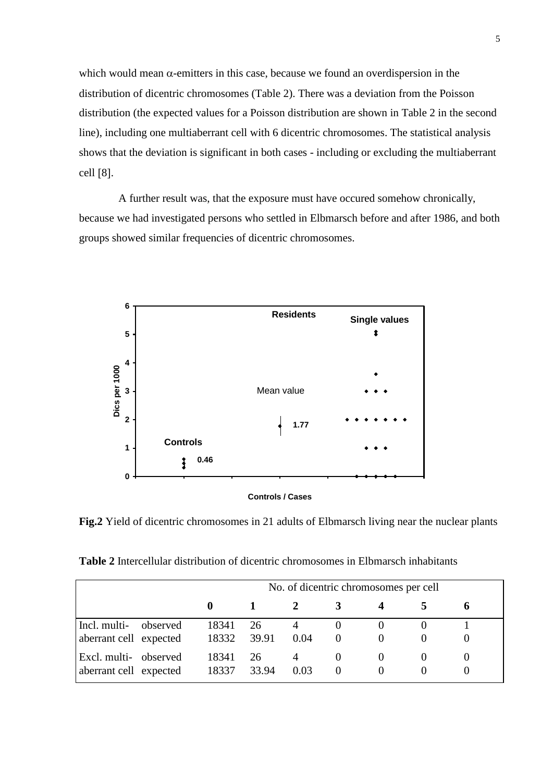which would mean  $\alpha$ -emitters in this case, because we found an overdispersion in the distribution of dicentric chromosomes (Table 2). There was a deviation from the Poisson distribution (the expected values for a Poisson distribution are shown in Table 2 in the second line), including one multiaberrant cell with 6 dicentric chromosomes. The statistical analysis shows that the deviation is significant in both cases - including or excluding the multiaberrant cell  $[8]$ .

A further result was, that the exposure must have occured somehow chronically, because we had investigated persons who settled in Elbmarsch before and after 1986, and both groups showed similar frequencies of dicentric chromosomes.



**Fig.2** Yield of dicentric chromosomes in 21 adults of Elbmarsch living near the nuclear plants

**Table 2** Intercellular distribution of dicentric chromosomes in Elbmarsch inhabitants

|                                                 |          | No. of dicentric chromosomes per cell |             |      |   |  |  |  |  |
|-------------------------------------------------|----------|---------------------------------------|-------------|------|---|--|--|--|--|
|                                                 |          |                                       |             |      |   |  |  |  |  |
| Incl. multi-<br>aberrant cell expected          | observed | 18341<br>18332                        | 26<br>39.91 | 0.04 | 0 |  |  |  |  |
| Excl. multi- observed<br>aberrant cell expected |          | 18341<br>18337                        | 26<br>33.94 | 0.03 |   |  |  |  |  |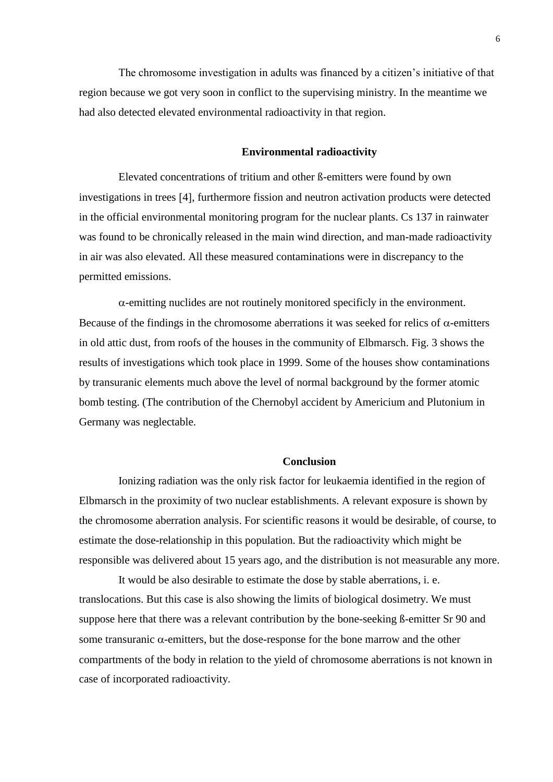The chromosome investigation in adults was financed by a citizen's initiative of that region because we got very soon in conflict to the supervising ministry. In the meantime we had also detected elevated environmental radioactivity in that region.

#### **Environmental radioactivity**

Elevated concentrations of tritium and other ß-emitters were found by own investigations in trees [4], furthermore fission and neutron activation products were detected in the official environmental monitoring program for the nuclear plants. Cs 137 in rainwater was found to be chronically released in the main wind direction, and man-made radioactivity in air was also elevated. All these measured contaminations were in discrepancy to the permitted emissions.

 $\alpha$ -emitting nuclides are not routinely monitored specificly in the environment. Because of the findings in the chromosome aberrations it was seeked for relics of  $\alpha$ -emitters in old attic dust, from roofs of the houses in the community of Elbmarsch. Fig. 3 shows the results of investigations which took place in 1999. Some of the houses show contaminations by transuranic elements much above the level of normal background by the former atomic bomb testing. (The contribution of the Chernobyl accident by Americium and Plutonium in Germany was neglectable.

#### **Conclusion**

Ionizing radiation was the only risk factor for leukaemia identified in the region of Elbmarsch in the proximity of two nuclear establishments. A relevant exposure is shown by the chromosome aberration analysis. For scientific reasons it would be desirable, of course, to estimate the dose-relationship in this population. But the radioactivity which might be responsible was delivered about 15 years ago, and the distribution is not measurable any more.

It would be also desirable to estimate the dose by stable aberrations, i. e. translocations. But this case is also showing the limits of biological dosimetry. We must suppose here that there was a relevant contribution by the bone-seeking ß-emitter Sr 90 and some transuranic  $\alpha$ -emitters, but the dose-response for the bone marrow and the other compartments of the body in relation to the yield of chromosome aberrations is not known in case of incorporated radioactivity.